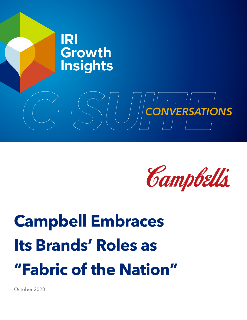



# **Campbell Embraces Its Brands' Roles as "Fabric of the Nation"**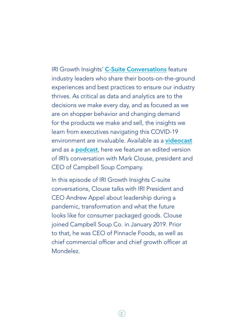IRI Growth Insights' [C-Suite Conversations](www.iriworldwide.com/en-us/insights/publications/csuite) feature industry leaders who share their boots-on-the-ground experiences and best practices to ensure our industry thrives. As critical as data and analytics are to the decisions we make every day, and as focused as we are on shopper behavior and changing demand for the products we make and sell, the insights we learn from executives navigating this COVID-19 environment are invaluable. Available as a **[videocast](https://www.iriworldwide.com
)** and as a **[podcast](https://www.iriworldwide.com/en-us/insights/podcasts/)**, here we feature an edited version of IRI's conversation with Mark Clouse, president and CEO of Campbell Soup Company.

In this episode of IRI Growth Insights C-suite conversations, Clouse talks with IRI President and CEO Andrew Appel about leadership during a pandemic, transformation and what the future looks like for consumer packaged goods. Clouse joined Campbell Soup Co. in January 2019. Prior to that, he was CEO of Pinnacle Foods, as well as chief commercial officer and chief growth officer at Mondelez.

 $\left(2\right)$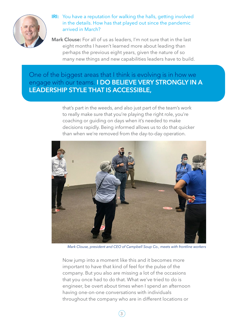

## **IRI:** You have a reputation for walking the halls, getting involved in the details. How has that played out since the pandemic arrived in March?

Mark Clouse: For all of us as leaders, I'm not sure that in the last eight months I haven't learned more about leading than perhaps the previous eight years, given the nature of so many new things and new capabilities leaders have to build.

# One of the biggest areas that I think is evolving is in how we engage with our teams. I DO BELIEVE VERY STRONGLY IN A LEADERSHIP STYLE THAT IS ACCESSIBLE,

that's part in the weeds, and also just part of the team's work to really make sure that you're playing the right role, you're coaching or guiding on days when it's needed to make decisions rapidly. Being informed allows us to do that quicker than when we're removed from the day-to-day operation.



*Mark Clouse, president and CEO of Campbell Soup Co., meets with frontline workers*

Now jump into a moment like this and it becomes more important to have that kind of feel for the pulse of the company. But you also are missing a lot of the occasions that you once had to do that. What we've tried to do is engineer, be overt about times when I spend an afternoon having one-on-one conversations with individuals throughout the company who are in different locations or

 $\left(3\right)$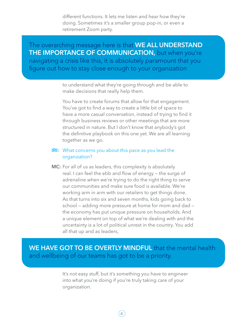different functions. It lets me listen and hear how they're doing. Sometimes it's a smaller group pop-in, or even a retirement Zoom party.

The overarching message here is that WE ALL UNDERSTAND THE IMPORTANCE OF COMMUNICATION, but when you're navigating a crisis like this, it is absolutely paramount that you figure out how to stay close enough to your organization

> to understand what they're going through and be able to make decisions that really help them.

You have to create forums that allow for that engagement. You've got to find a way to create a little bit of space to have a more casual conversation, instead of trying to find it through business reviews or other meetings that are more structured in nature. But I don't know that anybody's got the definitive playbook on this one yet. We are all learning together as we go.

## **IRI:** What concerns you about this pace as you lead the organization?

MC: For all of us as leaders, this complexity is absolutely real. I can feel the ebb and flow of energy — the surge of adrenaline when we're trying to do the right thing to serve our communities and make sure food is available. We're working arm in arm with our retailers to get things done. As that turns into six and seven months, kids going back to school — adding more pressure at home for mom and dad the economy has put unique pressure on households. And a unique element on top of what we're dealing with and the uncertainty is a lot of political unrest in the country. You add all that up and as leaders,

# WE HAVE GOT TO BE OVERTLY MINDFUL that the mental health and wellbeing of our teams has got to be a priority.

It's not easy stuff, but it's something you have to engineer into what you're doing if you're truly taking care of your organization.

4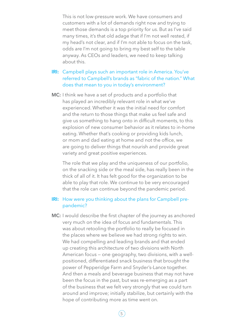This is not low-pressure work. We have consumers and customers with a lot of demands right now and trying to meet those demands is a top priority for us. But as I've said many times, it's that old adage that if I'm not well rested, if my head's not clear, and if I'm not able to focus on the task, odds are I'm not going to bring my best self to the table anyway. As CEOs and leaders, we need to keep talking about this.

- IRI: Campbell plays such an important role in America. You've referred to Campbell's brands as "fabric of the nation." What does that mean to you in today's environment?
- **MC:** I think we have a set of products and a portfolio that has played an incredibly relevant role in what we've experienced. Whether it was the initial need for comfort and the return to those things that make us feel safe and give us something to hang onto in difficult moments, to this explosion of new consumer behavior as it relates to in-home eating. Whether that's cooking or providing kids lunch, or mom and dad eating at home and not the office, we are going to deliver things that nourish and provide great variety and great positive experiences.

The role that we play and the uniqueness of our portfolio, on the snacking side or the meal side, has really been in the thick of all of it. It has felt good for the organization to be able to play that role. We continue to be very encouraged that the role can continue beyond the pandemic period.

## **IRI:** How were you thinking about the plans for Campbell prepandemic?

MC: I would describe the first chapter of the journey as anchored very much on the idea of focus and fundamentals. This was about retooling the portfolio to really be focused in the places where we believe we had strong rights to win. We had compelling and leading brands and that ended up creating this architecture of two divisions with North American focus — one geography, two divisions, with a wellpositioned, differentiated snack business that brought the power of Pepperidge Farm and Snyder's-Lance together. And then a meals and beverage business that may not have been the focus in the past, but was re-emerging as a part of the business that we felt very strongly that we could turn around and improve; initially stabilize, but certainly with the hope of contributing more as time went on.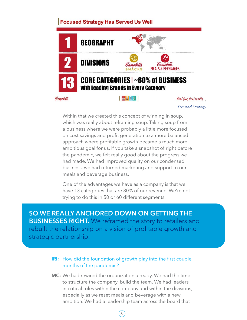## **Focused Strategy Has Served Us Well**



*Focused Strategy*

Within that we created this concept of winning in soup, which was really about reframing soup. Taking soup from a business where we were probably a little more focused on cost savings and profit generation to a more balanced approach where profitable growth became a much more ambitious goal for us. If you take a snapshot of right before the pandemic, we felt really good about the progress we had made. We had improved quality on our condensed business, we had returned marketing and support to our meals and beverage business.

One of the advantages we have as a company is that we have 13 categories that are 80% of our revenue. We're not trying to do this in 50 or 60 different segments.

SO WE REALLY ANCHORED DOWN ON GETTING THE BUSINESSES RIGHT. We reframed the story to retailers and rebuilt the relationship on a vision of profitable growth and strategic partnership.

## **IRI:** How did the foundation of growth play into the first couple months of the pandemic?

MC: We had rewired the organization already. We had the time to structure the company, build the team. We had leaders in critical roles within the company and within the divisions, especially as we reset meals and beverage with a new ambition. We had a leadership team across the board that

6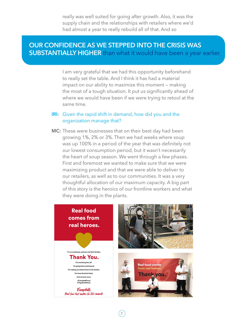really was well suited for going after growth. Also, it was the supply chain and the relationships with retailers where we'd had almost a year to really rebuild all of that. And so

# OUR CONFIDENCE AS WE STEPPED INTO THE CRISIS WAS SUBSTANTIALLY HIGHER than what it would have been a year earlier.

I am very grateful that we had this opportunity beforehand to really set the table. And I think it has had a material impact on our ability to maximize this moment — making the most of a tough situation. It put us significantly ahead of where we would have been if we were trying to retool at the same time.

#### **IRI:** Given the rapid shift in demand, how did you and the organization manage that?

MC: These were businesses that on their best day had been growing 1%, 2% or 3%. Then we had weeks where soup was up 100% in a period of the year that was definitely not our lowest consumption period, but it wasn't necessarily the heart of soup season. We went through a few phases. First and foremost we wanted to make sure that we were maximizing product and that we were able to deliver to our retailers, as well as to our communities. It was a very thoughtful allocation of our maximum capacity. A big part of this story is the heroics of our frontline workers and what they were doing in the plants.



7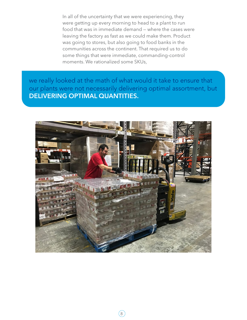In all of the uncertainty that we were experiencing, they were getting up every morning to head to a plant to run food that was in immediate demand — where the cases were leaving the factory as fast as we could make them. Product was going to stores, but also going to food banks in the communities across the continent. That required us to do some things that were immediate, commanding-control moments. We rationalized some SKUs,

we really looked at the math of what would it take to ensure that our plants were not necessarily delivering optimal assortment, but DELIVERING OPTIMAL QUANTITIES.



 $(8)$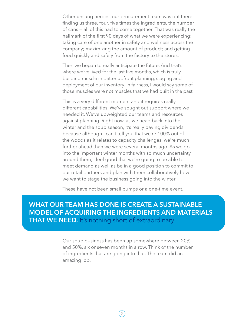Other unsung heroes, our procurement team was out there finding us three, four, five times the ingredients, the number of cans — all of this had to come together. That was really the hallmark of the first 90 days of what we were experiencing: taking care of one another in safety and wellness across the company; maximizing the amount of product; and getting food quickly and safely from the factory to the stores.

Then we began to really anticipate the future. And that's where we've lived for the last five months, which is truly building muscle in better upfront planning, staging and deployment of our inventory. In fairness, I would say some of those muscles were not muscles that we had built in the past.

This is a very different moment and it requires really different capabilities. We've sought out support where we needed it. We've upweighted our teams and resources against planning. Right now, as we head back into the winter and the soup season, it's really paying dividends because although I can't tell you that we're 100% out of the woods as it relates to capacity challenges, we're much further ahead than we were several months ago. As we go into the important winter months with so much uncertainty around them, I feel good that we're going to be able to meet demand as well as be in a good position to commit to our retail partners and plan with them collaboratively how we want to stage the business going into the winter.

These have not been small bumps or a one-time event.

# WHAT OUR TEAM HAS DONE IS CREATE A SUSTAINABLE MODEL OF ACQUIRING THE INGREDIENTS AND MATERIALS **THAT WE NEED.** It's nothing short of extraordinary.

Our soup business has been up somewhere between 20% and 50%, six or seven months in a row. Think of the number of ingredients that are going into that. The team did an amazing job.

 $\left(9\right)$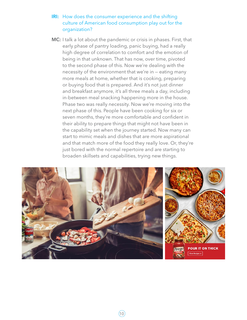## **IRI:** How does the consumer experience and the shifting culture of American food consumption play out for the organization?

MC: I talk a lot about the pandemic or crisis in phases. First, that early phase of pantry loading, panic buying, had a really high degree of correlation to comfort and the emotion of being in that unknown. That has now, over time, pivoted to the second phase of this. Now we're dealing with the necessity of the environment that we're in — eating many more meals at home, whether that is cooking, preparing or buying food that is prepared. And it's not just dinner and breakfast anymore, it's all three meals a day, including in-between meal snacking happening more in the house. Phase two was really necessity. Now we're moving into the next phase of this. People have been cooking for six or seven months, they're more comfortable and confident in their ability to prepare things that might not have been in the capability set when the journey started. Now many can start to mimic meals and dishes that are more aspirational and that match more of the food they really love. Or, they're just bored with the normal repertoire and are starting to broaden skillsets and capabilities, trying new things.

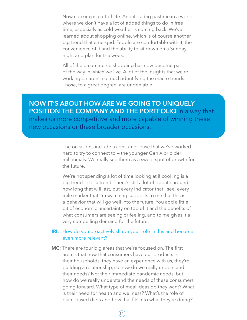Now cooking is part of life. And it's a big pastime in a world where we don't have a lot of added things to do in free time, especially as cold weather is coming back. We've learned about shopping online, which is of course another big trend that emerged. People are comfortable with it, the convenience of it and the ability to sit down on a Sunday night and plan for the week.

All of the e-commerce shopping has now become part of the way in which we live. A lot of the insights that we're working on aren't so much identifying the macro trends. Those, to a great degree, are undeniable.

NOW IT'S ABOUT HOW ARE WE GOING TO UNIQUELY POSITION THE COMPANY AND THE PORTFOLIO in a way that

makes us more competitive and more capable of winning these new occasions or these broader occasions.

> The occasions include a consumer base that we've worked hard to try to connect to — the younger Gen X or older millennials. We really see them as a sweet spot of growth for the future.

We're not spending a lot of time looking at if cooking is a big trend – it is a trend. There's still a lot of debate around how long that will last, but every indicator that I see, every mile marker that I'm watching suggests to me that this is a behavior that will go well into the future. You add a little bit of economic uncertainty on top of it and the benefits of what consumers are seeing or feeling, and to me gives it a very compelling demand for the future.

## **IRI:** How do you proactively shape your role in this and become even more relevant?

MC: There are four big areas that we're focused on. The first area is that now that consumers have our products in their households, they have an experience with us, they're building a relationship, so how do we really understand their needs? Not their immediate pandemic needs, but how do we really understand the needs of these consumers going forward. What type of meal ideas do they want? What is their need for health and wellness? What's the role of plant-based diets and how that fits into what they're doing?

 $(11)$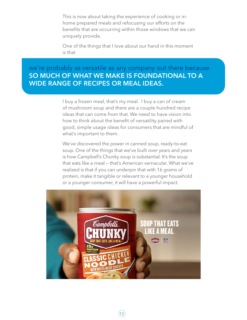This is now about taking the experience of cooking or inhome prepared meals and refocusing our efforts on the benefits that are occurring within those windows that we can uniquely provide.

One of the things that I love about our hand in this moment is that

# we're probably as versatile as any company out there because SO MUCH OF WHAT WE MAKE IS FOUNDATIONAL TO A WIDE RANGE OF RECIPES OR MEAL IDEAS.

I buy a frozen meal, that's my meal. I buy a can of cream of mushroom soup and there are a couple hundred recipe ideas that can come from that. We need to have vision into how to think about the benefit of versatility paired with good, simple usage ideas for consumers that are mindful of what's important to them.

We've discovered the power in canned soup, ready-to-eat soup. One of the things that we've built over years and years is how Campbell's Chunky soup is substantial. It's the soup that eats like a meal — that's American vernacular. What we've realized is that if you can underpin that with 16 grams of protein, make it tangible or relevant to a younger household or a younger consumer, it will have a powerful impact.



 $(12)$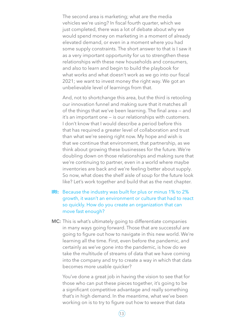The second area is marketing; what are the media vehicles we're using? In fiscal fourth quarter, which we just completed, there was a lot of debate about why we would spend money on marketing in a moment of already elevated demand, or even in a moment where you had some supply constraints. The short answer to that is I saw it as a very important opportunity for us to strengthen these relationships with these new households and consumers, and also to learn and begin to build the playbook for what works and what doesn't work as we go into our fiscal 2021; we want to invest money the right way. We got an unbelievable level of learnings from that.

And, not to shortchange this area, but the third is retooling our innovation funnel and making sure that it matches all of the things that we've been learning. The final area — and it's an important one — is our relationships with customers. I don't know that I would describe a period before this that has required a greater level of collaboration and trust than what we're seeing right now. My hope and wish is that we continue that environment, that partnership, as we think about growing these businesses for the future. We're doubling down on those relationships and making sure that we're continuing to partner, even in a world where maybe inventories are back and we're feeling better about supply. So now, what does the shelf aisle of soup for the future look like? Let's work together and build that as the next chapter.

## IRI: Because the industry was built for plus or minus 1% to 2% growth, it wasn't an environment or culture that had to react so quickly. How do you create an organization that can move fast enough?

MC: This is what's ultimately going to differentiate companies in many ways going forward. Those that are successful are going to figure out how to navigate in this new world. We're learning all the time. First, even before the pandemic, and certainly as we've gone into the pandemic, is how do we take the multitude of streams of data that we have coming into the company and try to create a way in which that data becomes more usable quicker?

You've done a great job in having the vision to see that for those who can put these pieces together, it's going to be a significant competitive advantage and really something that's in high demand. In the meantime, what we've been working on is to try to figure out how to weave that data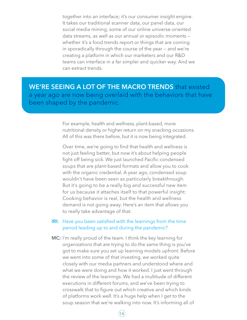together into an interface; it's our consumer insight engine. It takes our traditional scanner data, our panel data, our social media mining, some of our online universe-oriented data streams, as well as our annual or episodic moments whether it's a food trends report or things that are coming in sporadically through the course of the year — and we're creating a platform in which our marketers and our R&D teams can interface in a far simpler and quicker way. And we can extract trends.

WE'RE SEEING A LOT OF THE MACRO TRENDS that existed a year ago are now being overlaid with the behaviors that have been shaped by the pandemic.

> For example, health and wellness, plant-based, more nutritional density or higher return on my snacking occasions. All of this was there before, but it is now being integrated.

Over time, we're going to find that health and wellness is not just feeling better, but now it's about helping people fight off being sick. We just launched Pacific condensed soups that are plant-based formats and allow you to cook with the organic credential. A year ago, condensed soup wouldn't have been seen as particularly breakthrough. But it's going to be a really big and successful new item for us because it attaches itself to that powerful insight: Cooking behavior is real, but the health and wellness demand is not going away. Here's an item that allows you to really take advantage of that.

## **IRI:** Have you been satisfied with the learnings from the time period leading up to and during the pandemic?

MC: I'm really proud of the team. I think the key learning for organizations that are trying to do the same thing is you've got to make sure you set up learning models upfront. Before we went into some of that investing, we worked quite closely with our media partners and understood where and what we were doing and how it worked. I just went through the review of the learnings. We had a multitude of different executions in different forums, and we've been trying to crosswalk that to figure out which creative and which kinds of platforms work well. It's a huge help when I get to the soup season that we're walking into now. It's informing all of

 $(14)$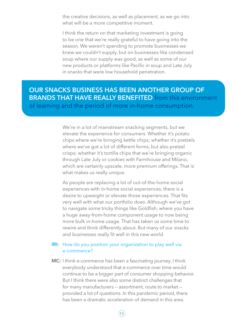the creative decisions, as well as placement, as we go into what will be a more competitive moment.

I think the return on that marketing investment is going to be one that we're really grateful to have going into the season. We weren't spending to promote businesses we knew we couldn't supply, but on businesses like condensed soup where our supply was good, as well as some of our new products or platforms like Pacific in soup and Late July in snacks that were low household penetration.

# OUR SNACKS BUSINESS HAS BEEN ANOTHER GROUP OF BRANDS THAT HAVE REALLY BENEFITED from this environment of learning and the period of more in-home consumption.

We're in a lot of mainstream snacking segments, but we elevate the experience for consumers. Whether it's potato chips where we're bringing kettle chips; whether it's pretzels where we've got a lot of different forms, but also pretzel crisps; whether it's tortilla chips that we're bringing organic through Late July or cookies with Farmhouse and Milano, which are certainly upscale, more premium offerings. That is what makes us really unique.

As people are replacing a lot of out-of-the-home social experiences with in-home social experiences, there is a desire to upweight or elevate those experiences. That fits very well with what our portfolio does. Although we've got to navigate some tricky things like Goldfish, where you have a huge away-from-home component usage to now being more bulk in-home usage. That has taken us some time to rewire and think differently about. But many of our snacks and businesses really fit well in this new world.

## **IRI:** How do you position your organization to play well via e-commerce?

**MC:** I think e-commerce has been a fascinating journey. I think everybody understood that e-commerce over time would continue to be a bigger part of consumer shopping behavior. But I think there were also some distinct challenges that for many manufacturers — assortment, route to market provided a lot of questions. In this pandemic period, there has been a dramatic acceleration of demand in this area.

 $(15)$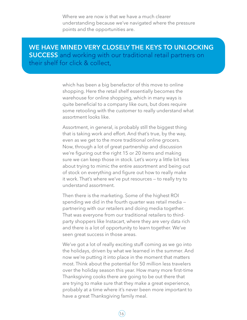Where we are now is that we have a much clearer understanding because we've navigated where the pressure points and the opportunities are.

WE HAVE MINED VERY CLOSELY THE KEYS TO UNLOCKING SUCCESS and working with our traditional retail partners on their shelf for click & collect,

> which has been a big benefactor of this move to online shopping. Here the retail shelf essentially becomes the warehouse for online shopping, which in many ways is quite beneficial to a company like ours, but does require some retooling with the customer to really understand what assortment looks like.

Assortment, in general, is probably still the biggest thing that is taking work and effort. And that's true, by the way, even as we get to the more traditional online grocers. Now, through a lot of great partnership and discussion we're figuring out the right 15 or 20 items and making sure we can keep those in stock. Let's worry a little bit less about trying to mimic the entire assortment and being out of stock on everything and figure out how to really make it work. That's where we've put resources — to really try to understand assortment.

Then there is the marketing. Some of the highest ROI spending we did in the fourth quarter was retail media partnering with our retailers and doing media together. That was everyone from our traditional retailers to thirdparty shoppers like Instacart, where they are very data rich and there is a lot of opportunity to learn together. We've seen great success in those areas.

We've got a lot of really exciting stuff coming as we go into the holidays, driven by what we learned in the summer. And now we're putting it into place in the moment that matters most. Think about the potential for 50 million less travelers over the holiday season this year. How many more first-time Thanksgiving cooks there are going to be out there that are trying to make sure that they make a great experience, probably at a time where it's never been more important to have a great Thanksgiving family meal.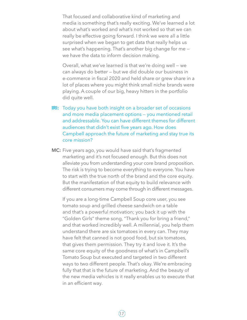That focused and collaborative kind of marketing and media is something that's really exciting. We've learned a lot about what's worked and what's not worked so that we can really be effective going forward. I think we were all a little surprised when we began to get data that really helps us see what's happening. That's another big change for me we have the data to inform decision making.

Overall, what we've learned is that we're doing well — we can always do better — but we did double our business in e-commerce in fiscal 2020 and held share or grew share in a lot of places where you might think small niche brands were playing. A couple of our big, heavy hitters in the portfolio did quite well.

- **IRI:** Today you have both insight on a broader set of occasions and more media placement options — you mentioned retail and addressable. You can have different themes for different audiences that didn't exist five years ago. How does Campbell approach the future of marketing and stay true its core mission?
- MC: Five years ago, you would have said that's fragmented marketing and it's not focused enough. But this does not alleviate you from understanding your core brand proposition. The risk is trying to become everything to everyone. You have to start with the true north of the brand and the core equity. But the manifestation of that equity to build relevance with different consumers may come through in different messages.

If you are a long-time Campbell Soup core user, you see tomato soup and grilled cheese sandwich on a table and that's a powerful motivation; you back it up with the "Golden Girls" theme song, "Thank you for bring a friend," and that worked incredibly well. A millennial, you help them understand there are six tomatoes in every can. They may have felt that canned is not good food, but six tomatoes, that gives them permission. They try it and love it. It's the same core equity of the goodness of what's in Campbell's Tomato Soup but executed and targeted in two different ways to two different people. That's okay. We're embracing fully that that is the future of marketing. And the beauty of the new media vehicles is it really enables us to execute that in an efficient way.

 $(17)$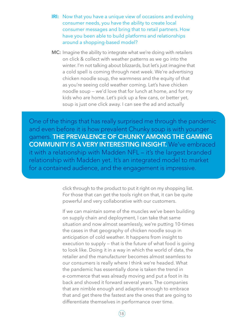- **IRI:** Now that you have a unique view of occasions and evolving consumer needs, you have the ability to create local consumer messages and bring that to retail partners. How have you been able to build platforms and relationships around a shopping-based model?
- **MC:** Imagine the ability to integrate what we're doing with retailers on click & collect with weather patterns as we go into the winter. I'm not talking about blizzards, but let's just imagine that a cold spell is coming through next week. We're advertising chicken noodle soup, the warmness and the equity of that as you're seeing cold weather coming. Let's have chicken noodle soup — we'd love that for lunch at home, and for my kids who are home. Let's pick up a few cans, or better yet, soup is just one click away. I can see the ad and actually

One of the things that has really surprised me through the pandemic and even before it is how prevalent Chunky soup is with younger gamers. THE PREVALENCE OF CHUNKY AMONG THE GAMING COMMUNITY IS A VERY INTERESTING INSIGHT. We've embraced it with a relationship with Madden NFL – it's the largest branded relationship with Madden yet. It's an integrated model to market for a contained audience, and the engagement is impressive.

> click through to the product to put it right on my shopping list. For those that can get the tools right on that, it can be quite powerful and very collaborative with our customers.

If we can maintain some of the muscles we've been building on supply chain and deployment, I can take that same situation and now almost seamlessly, we're putting 10-times the cases in that geography of chicken noodle soup in anticipation of cold weather. It happens from insight to execution to supply — that is the future of what food is going to look like. Doing it in a way in which the world of data, the retailer and the manufacturer becomes almost seamless to our consumers is really where I think we're headed. What the pandemic has essentially done is taken the trend in e-commerce that was already moving and put a foot in its back and shoved it forward several years. The companies that are nimble enough and adaptive enough to embrace that and get there the fastest are the ones that are going to differentiate themselves in performance over time.

 $(18)$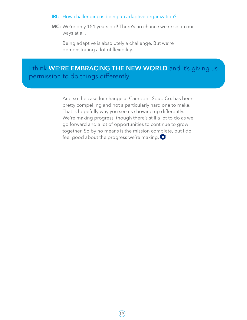#### IRI: How challenging is being an adaptive organization?

MC: We're only 151 years old! There's no chance we're set in our ways at all.

Being adaptive is absolutely a challenge. But we're demonstrating a lot of flexibility.

# I think WE'RE EMBRACING THE NEW WORLD and it's giving us permission to do things differently.

And so the case for change at Campbell Soup Co. has been pretty compelling and not a particularly hard one to make. That is hopefully why you see us showing up differently. We're making progress, though there's still a lot to do as we go forward and a lot of opportunities to continue to grow together. So by no means is the mission complete, but I do feel good about the progress we're making.